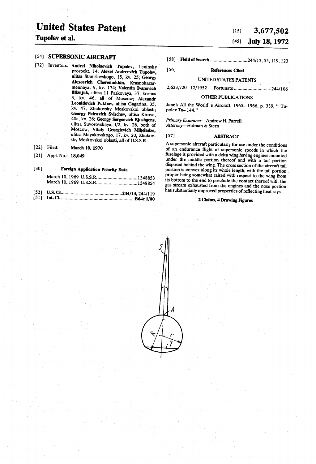## United States Patent

#### 54) SUPERSONIC AIRCRAFT

- [72] Inventors: Andrei Nikolaevich Tupolev, Leninsky prospekt, 14; Alexei Andreevich Tupolev, ulitsa Stanislavskogo, 15, kv, 25; Georgy Alexeevich Cheremukhin, Krasnokazar-<br>mennaya, 9, kv, 174; Valentin Ivanovich Bliznjuk, ulitsa 11 Parkovaya, 37, korpus 3, kv. 46, all of Moscow; Alexandr Leonidovich Pukhov, ulitsa Gagarina, 35, kv. 47, Zhukovsky Moskovskoi oblasti; 40a, kv. 26; Georgy Sergeevich Bjushgens, ulitsa Suvorovskaya, I/2, kv. 26, both of Moscow; Vitaly Georgievich Mikeladze, ulitsa Mayakovskogo, 17, kv. 20, Zhukovsky Moskovskoi oblasti, all of U.S.S.R.
- 22) Filed: March 10, 1970
- 21 Appl. No.: 18,049

| [30] |  | <b>Foreign Application Priority Data</b> |  |  |  |
|------|--|------------------------------------------|--|--|--|
|------|--|------------------------------------------|--|--|--|

| $1521$ $115.01$ |  |
|-----------------|--|

| 1 J 4 L | U.S. Chamana material contracts and the U.S. Chamana material contracts and 244/13, 244/119 |
|---------|---------------------------------------------------------------------------------------------|
|         |                                                                                             |

# $\frac{1}{3}$ Tupolev et al.  $\frac{3}{5}$  3,677,502

### (45) July 18, 1972

[58] Field of Search ................................244/13, 55, 119, 123

#### 56) References Cited

#### UNITED STATES PATENTS

2,623,720 12/1952 Fortunato.244/106

#### OTHER PUBLICATIONS

Jane's All the World's Aircraft, 1965- 1966, p. 339, "Tu-<br>polev Tu-144."

Primary Examiner-Andrew H. Farrell Attorney-Holman & Stern

#### 57) ABSTRACT

A supersonic aircraft particularly for use under the conditions of an endurance flight at supersonic speeds in which the fuselage is provided with a delta wing having engines mounted disposed behind the wing. The cross section of the aircraft tail portion is convex along its whole length, with the tail portion. proper being somewhat raised with respect to the wing from its bottom to the end to preclude the contact thereof with the gas stream exhausted from the engines and the nose portion has substantially improved properties of reflecting heat rays.

#### 2 Claims, 4 Drawing Figures

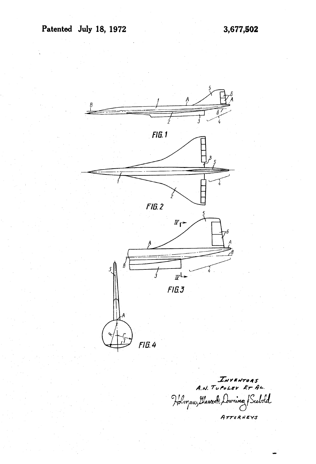

INVENTORS<br>A.N. TUPOLEY ET AL. Holman, Dascock, During & Seebold ATTORNEYS